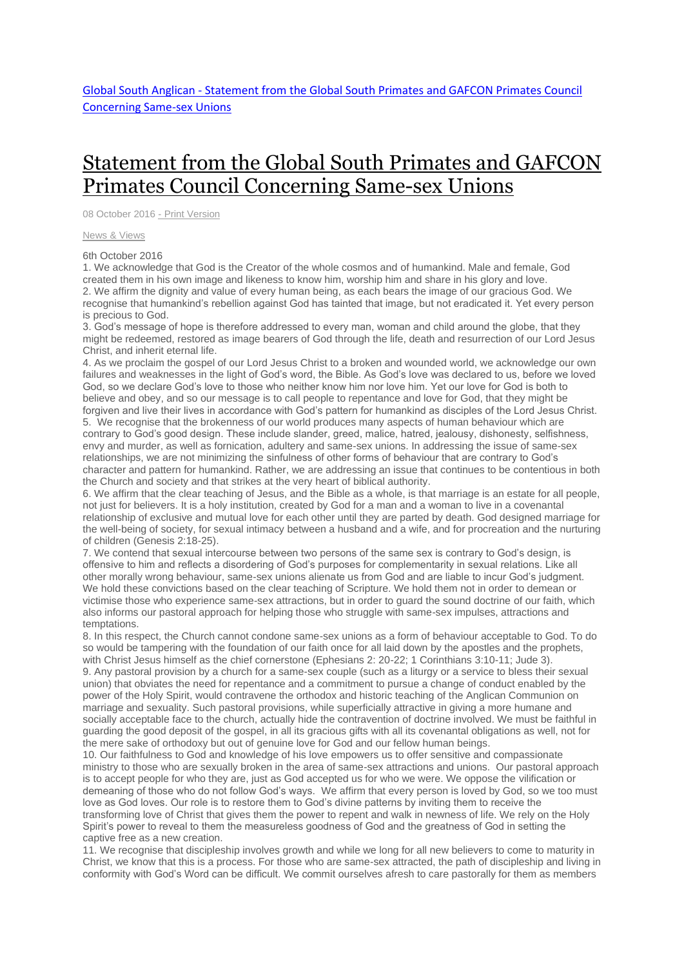## [Statement](http://www.globalsouthanglican.org/index.php/blog/comments/statement_from_the_global_south_primates_and_gafcon_primates_council_concer) from the Global South Primates and GAFCON Primates Council [Concerning](http://www.globalsouthanglican.org/index.php/blog/comments/statement_from_the_global_south_primates_and_gafcon_primates_council_concer) Same-sex Unions

08 October 2016 - Print [Version](http://globalsouthanglican.org/index.php/blog/printing/statement_from_the_global_south_primates_and_gafcon_primates_council_concer)

News & [Views](http://globalsouthanglican.org/index.php/archives/category/news_views)

6th October 2016

1. We acknowledge that God is the Creator of the whole cosmos and of humankind. Male and female, God created them in his own image and likeness to know him, worship him and share in his glory and love. 2. We affirm the dignity and value of every human being, as each bears the image of our gracious God. We recognise that humankind's rebellion against God has tainted that image, but not eradicated it. Yet every person is precious to God.

3. God's message of hope is therefore addressed to every man, woman and child around the globe, that they might be redeemed, restored as image bearers of God through the life, death and resurrection of our Lord Jesus Christ, and inherit eternal life.

4. As we proclaim the gospel of our Lord Jesus Christ to a broken and wounded world, we acknowledge our own failures and weaknesses in the light of God's word, the Bible. As God's love was declared to us, before we loved God, so we declare God's love to those who neither know him nor love him. Yet our love for God is both to believe and obey, and so our message is to call people to repentance and love for God, that they might be forgiven and live their lives in accordance with God's pattern for humankind as disciples of the Lord Jesus Christ. 5. We recognise that the brokenness of our world produces many aspects of human behaviour which are contrary to God's good design. These include slander, greed, malice, hatred, jealousy, dishonesty, selfishness, envy and murder, as well as fornication, adultery and same-sex unions. In addressing the issue of same-sex relationships, we are not minimizing the sinfulness of other forms of behaviour that are contrary to God's character and pattern for humankind. Rather, we are addressing an issue that continues to be contentious in both the Church and society and that strikes at the very heart of biblical authority.

6. We affirm that the clear teaching of Jesus, and the Bible as a whole, is that marriage is an estate for all people, not just for believers. It is a holy institution, created by God for a man and a woman to live in a covenantal relationship of exclusive and mutual love for each other until they are parted by death. God designed marriage for the well-being of society, for sexual intimacy between a husband and a wife, and for procreation and the nurturing of children (Genesis 2:18-25).

7. We contend that sexual intercourse between two persons of the same sex is contrary to God's design, is offensive to him and reflects a disordering of God's purposes for complementarity in sexual relations. Like all other morally wrong behaviour, same-sex unions alienate us from God and are liable to incur God's judgment. We hold these convictions based on the clear teaching of Scripture. We hold them not in order to demean or victimise those who experience same-sex attractions, but in order to guard the sound doctrine of our faith, which also informs our pastoral approach for helping those who struggle with same-sex impulses, attractions and temptations.

8. In this respect, the Church cannot condone same-sex unions as a form of behaviour acceptable to God. To do so would be tampering with the foundation of our faith once for all laid down by the apostles and the prophets, with Christ Jesus himself as the chief cornerstone (Ephesians 2: 20-22; 1 Corinthians 3:10-11; Jude 3). 9. Any pastoral provision by a church for a same-sex couple (such as a liturgy or a service to bless their sexual union) that obviates the need for repentance and a commitment to pursue a change of conduct enabled by the power of the Holy Spirit, would contravene the orthodox and historic teaching of the Anglican Communion on marriage and sexuality. Such pastoral provisions, while superficially attractive in giving a more humane and socially acceptable face to the church, actually hide the contravention of doctrine involved. We must be faithful in guarding the good deposit of the gospel, in all its gracious gifts with all its covenantal obligations as well, not for the mere sake of orthodoxy but out of genuine love for God and our fellow human beings.

10. Our faithfulness to God and knowledge of his love empowers us to offer sensitive and compassionate ministry to those who are sexually broken in the area of same-sex attractions and unions. Our pastoral approach is to accept people for who they are, just as God accepted us for who we were. We oppose the vilification or demeaning of those who do not follow God's ways. We affirm that every person is loved by God, so we too must love as God loves. Our role is to restore them to God's divine patterns by inviting them to receive the transforming love of Christ that gives them the power to repent and walk in newness of life. We rely on the Holy Spirit's power to reveal to them the measureless goodness of God and the greatness of God in setting the captive free as a new creation.

11. We recognise that discipleship involves growth and while we long for all new believers to come to maturity in Christ, we know that this is a process. For those who are same-sex attracted, the path of discipleship and living in conformity with God's Word can be difficult. We commit ourselves afresh to care pastorally for them as members